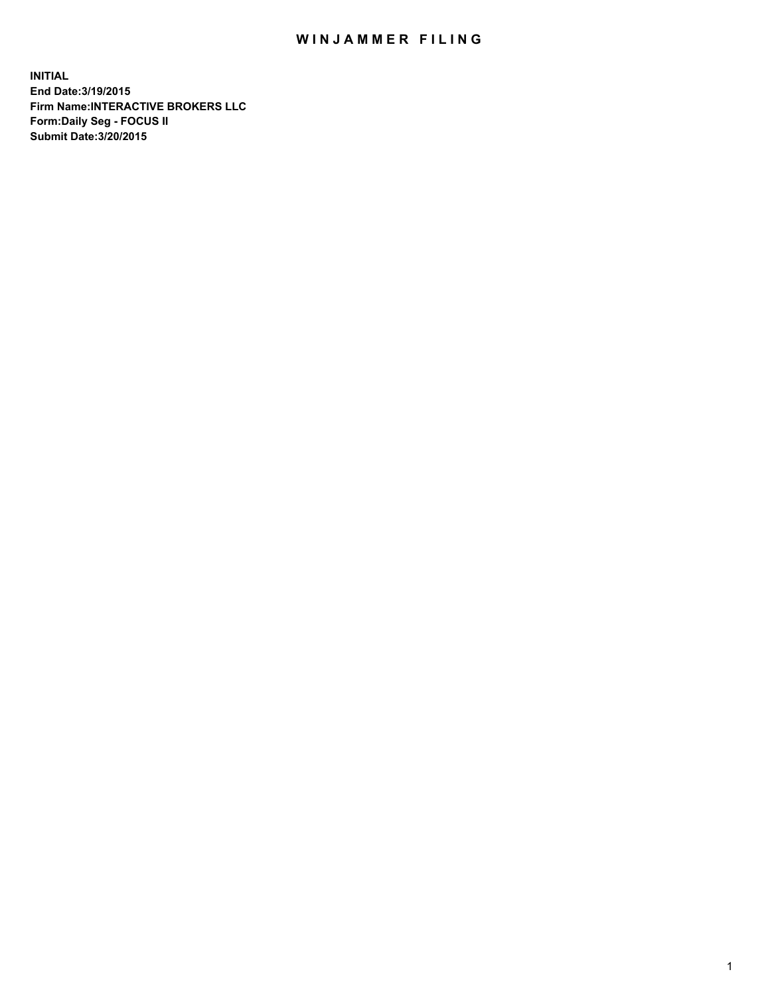## WIN JAMMER FILING

**INITIAL End Date:3/19/2015 Firm Name:INTERACTIVE BROKERS LLC Form:Daily Seg - FOCUS II Submit Date:3/20/2015**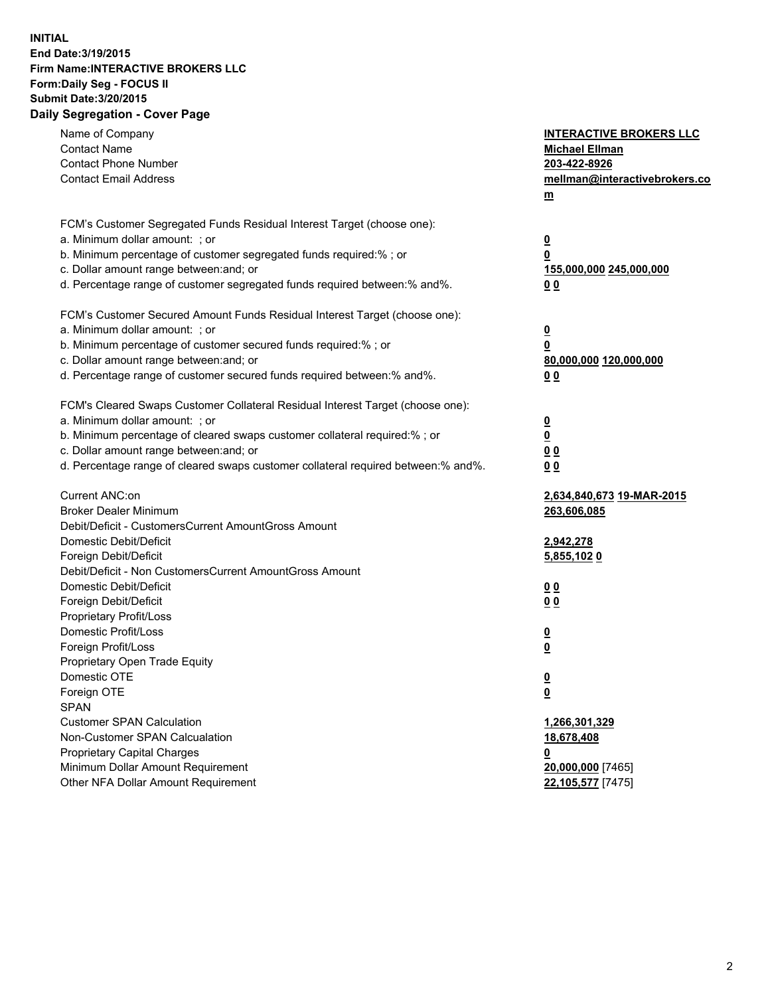## **INITIAL End Date:3/19/2015 Firm Name:INTERACTIVE BROKERS LLC Form:Daily Seg - FOCUS II Submit Date:3/20/2015 Daily Segregation - Cover Page**

| Name of Company<br><b>Contact Name</b><br><b>Contact Phone Number</b><br><b>Contact Email Address</b>    | <b>INTERACTIVE BROKERS LLC</b><br><b>Michael Ellman</b><br>203-422-8926<br>mellman@interactivebrokers.co<br>$m$ |
|----------------------------------------------------------------------------------------------------------|-----------------------------------------------------------------------------------------------------------------|
| FCM's Customer Segregated Funds Residual Interest Target (choose one):<br>a. Minimum dollar amount: ; or | $\overline{\mathbf{0}}$                                                                                         |
| b. Minimum percentage of customer segregated funds required:% ; or                                       | 0                                                                                                               |
| c. Dollar amount range between: and; or                                                                  | 155,000,000 245,000,000                                                                                         |
| d. Percentage range of customer segregated funds required between:% and%.                                | 0 <sub>0</sub>                                                                                                  |
| FCM's Customer Secured Amount Funds Residual Interest Target (choose one):                               |                                                                                                                 |
| a. Minimum dollar amount: ; or                                                                           | $\overline{\mathbf{0}}$                                                                                         |
| b. Minimum percentage of customer secured funds required:% ; or                                          | 0                                                                                                               |
| c. Dollar amount range between: and; or                                                                  | 80,000,000 120,000,000                                                                                          |
| d. Percentage range of customer secured funds required between:% and%.                                   | 0 <sub>0</sub>                                                                                                  |
| FCM's Cleared Swaps Customer Collateral Residual Interest Target (choose one):                           |                                                                                                                 |
| a. Minimum dollar amount: ; or                                                                           | $\overline{\mathbf{0}}$                                                                                         |
| b. Minimum percentage of cleared swaps customer collateral required:% ; or                               | $\overline{\mathbf{0}}$                                                                                         |
| c. Dollar amount range between: and; or                                                                  | 0 <sub>0</sub>                                                                                                  |
| d. Percentage range of cleared swaps customer collateral required between:% and%.                        | 0 <sub>0</sub>                                                                                                  |
| Current ANC:on                                                                                           | 2,634,840,673 19-MAR-2015                                                                                       |
| <b>Broker Dealer Minimum</b>                                                                             | 263,606,085                                                                                                     |
| Debit/Deficit - CustomersCurrent AmountGross Amount                                                      |                                                                                                                 |
| Domestic Debit/Deficit                                                                                   | 2,942,278                                                                                                       |
| Foreign Debit/Deficit                                                                                    | 5,855,1020                                                                                                      |
| Debit/Deficit - Non CustomersCurrent AmountGross Amount                                                  |                                                                                                                 |
| Domestic Debit/Deficit                                                                                   | 0 <sub>0</sub>                                                                                                  |
| Foreign Debit/Deficit                                                                                    | 0 <sub>0</sub>                                                                                                  |
| Proprietary Profit/Loss                                                                                  |                                                                                                                 |
| Domestic Profit/Loss                                                                                     | $\overline{\mathbf{0}}$                                                                                         |
| Foreign Profit/Loss                                                                                      | $\underline{\mathbf{0}}$                                                                                        |
| Proprietary Open Trade Equity                                                                            |                                                                                                                 |
| Domestic OTE                                                                                             | <u>0</u>                                                                                                        |
| Foreign OTE                                                                                              | <u>0</u>                                                                                                        |
| <b>SPAN</b><br><b>Customer SPAN Calculation</b>                                                          |                                                                                                                 |
| Non-Customer SPAN Calcualation                                                                           | 1,266,301,329<br>18,678,408                                                                                     |
| Proprietary Capital Charges                                                                              |                                                                                                                 |
| Minimum Dollar Amount Requirement                                                                        | <u>0</u><br>20,000,000 [7465]                                                                                   |
| Other NFA Dollar Amount Requirement                                                                      | 22,105,577 [7475]                                                                                               |
|                                                                                                          |                                                                                                                 |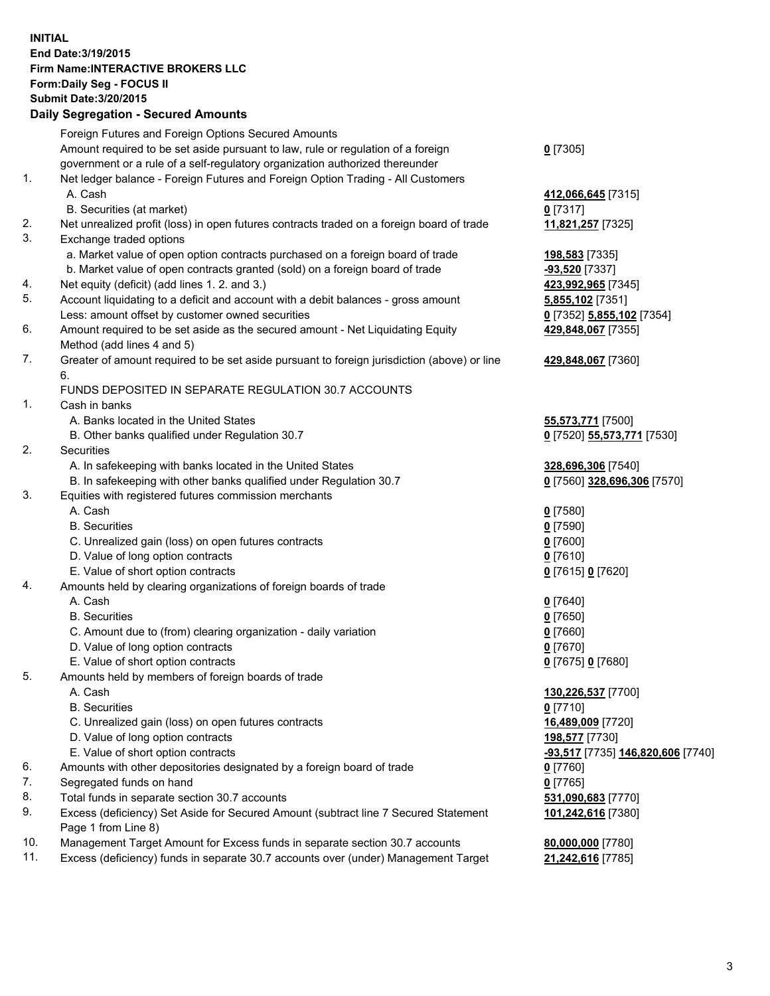## **INITIAL End Date:3/19/2015 Firm Name:INTERACTIVE BROKERS LLC Form:Daily Seg - FOCUS II Submit Date:3/20/2015 Daily Segregation - Secured Amounts**

|     | Foreign Futures and Foreign Options Secured Amounts                                         |                                   |
|-----|---------------------------------------------------------------------------------------------|-----------------------------------|
|     | Amount required to be set aside pursuant to law, rule or regulation of a foreign            | $0$ [7305]                        |
|     | government or a rule of a self-regulatory organization authorized thereunder                |                                   |
| 1.  | Net ledger balance - Foreign Futures and Foreign Option Trading - All Customers             |                                   |
|     | A. Cash                                                                                     | 412,066,645 [7315]                |
|     | B. Securities (at market)                                                                   | $0$ [7317]                        |
| 2.  | Net unrealized profit (loss) in open futures contracts traded on a foreign board of trade   | 11,821,257 [7325]                 |
| 3.  | Exchange traded options                                                                     |                                   |
|     | a. Market value of open option contracts purchased on a foreign board of trade              |                                   |
|     |                                                                                             | 198,583 [7335]                    |
|     | b. Market value of open contracts granted (sold) on a foreign board of trade                | -93,520 [7337]                    |
| 4.  | Net equity (deficit) (add lines 1.2. and 3.)                                                | 423,992,965 [7345]                |
| 5.  | Account liquidating to a deficit and account with a debit balances - gross amount           | 5,855,102 [7351]                  |
|     | Less: amount offset by customer owned securities                                            | 0 [7352] 5,855,102 [7354]         |
| 6.  | Amount required to be set aside as the secured amount - Net Liquidating Equity              | 429,848,067 [7355]                |
|     | Method (add lines 4 and 5)                                                                  |                                   |
| 7.  | Greater of amount required to be set aside pursuant to foreign jurisdiction (above) or line | 429,848,067 [7360]                |
|     | 6.                                                                                          |                                   |
|     | FUNDS DEPOSITED IN SEPARATE REGULATION 30.7 ACCOUNTS                                        |                                   |
| 1.  | Cash in banks                                                                               |                                   |
|     | A. Banks located in the United States                                                       | 55,573,771 [7500]                 |
|     | B. Other banks qualified under Regulation 30.7                                              | 0 [7520] 55,573,771 [7530]        |
| 2.  | Securities                                                                                  |                                   |
|     | A. In safekeeping with banks located in the United States                                   | 328,696,306 [7540]                |
|     | B. In safekeeping with other banks qualified under Regulation 30.7                          | 0 [7560] 328,696,306 [7570]       |
| 3.  | Equities with registered futures commission merchants                                       |                                   |
|     | A. Cash                                                                                     | $0$ [7580]                        |
|     | <b>B.</b> Securities                                                                        | $0$ [7590]                        |
|     | C. Unrealized gain (loss) on open futures contracts                                         | $0$ [7600]                        |
|     | D. Value of long option contracts                                                           | $0$ [7610]                        |
|     | E. Value of short option contracts                                                          | 0 [7615] 0 [7620]                 |
| 4.  | Amounts held by clearing organizations of foreign boards of trade                           |                                   |
|     | A. Cash                                                                                     | $0$ [7640]                        |
|     | <b>B.</b> Securities                                                                        | $0$ [7650]                        |
|     | C. Amount due to (from) clearing organization - daily variation                             | $0$ [7660]                        |
|     | D. Value of long option contracts                                                           | $0$ [7670]                        |
|     | E. Value of short option contracts                                                          | 0 [7675] 0 [7680]                 |
| 5.  | Amounts held by members of foreign boards of trade                                          |                                   |
|     | A. Cash                                                                                     | 130,226,537 [7700]                |
|     | <b>B.</b> Securities                                                                        | $0$ [7710]                        |
|     | C. Unrealized gain (loss) on open futures contracts                                         | 16,489,009 [7720]                 |
|     | D. Value of long option contracts                                                           | 198,577 [7730]                    |
|     | E. Value of short option contracts                                                          | -93,517 [7735] 146,820,606 [7740] |
| 6.  | Amounts with other depositories designated by a foreign board of trade                      |                                   |
| 7.  |                                                                                             | $0$ [7760]                        |
|     | Segregated funds on hand                                                                    | $0$ [7765]                        |
| 8.  | Total funds in separate section 30.7 accounts                                               | 531,090,683 [7770]                |
| 9.  | Excess (deficiency) Set Aside for Secured Amount (subtract line 7 Secured Statement         | 101,242,616 [7380]                |
|     | Page 1 from Line 8)                                                                         |                                   |
| 10. | Management Target Amount for Excess funds in separate section 30.7 accounts                 | 80,000,000 [7780]                 |
| 11. | Excess (deficiency) funds in separate 30.7 accounts over (under) Management Target          | 21,242,616 [7785]                 |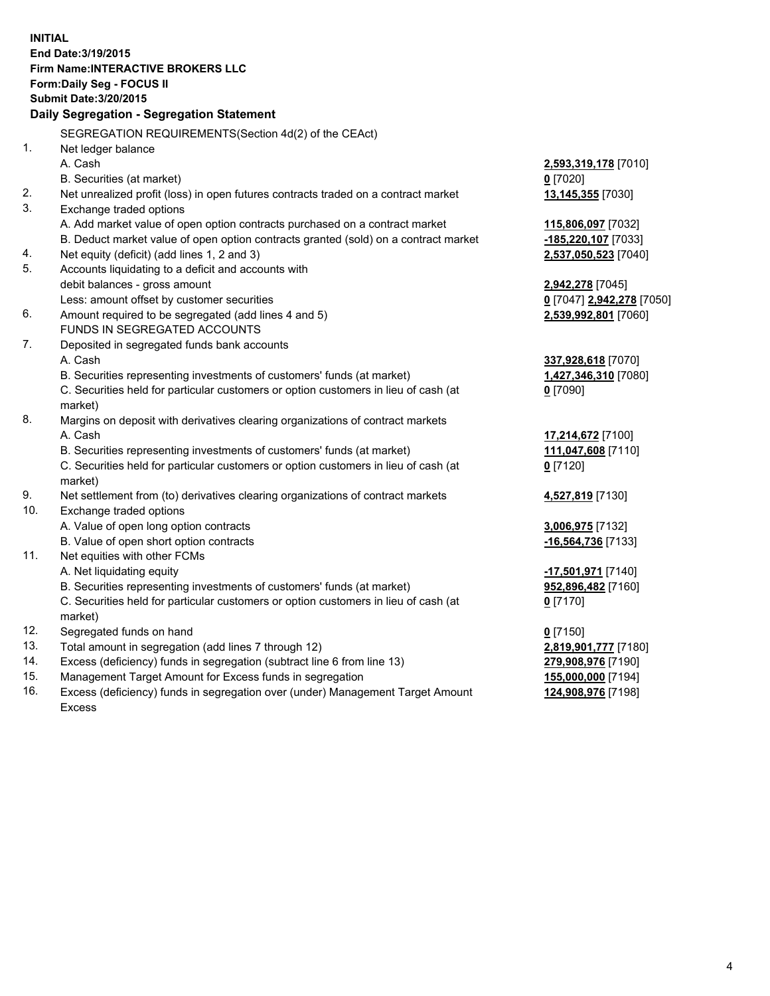**INITIAL End Date:3/19/2015 Firm Name:INTERACTIVE BROKERS LLC Form:Daily Seg - FOCUS II Submit Date:3/20/2015 Daily Segregation - Segregation Statement** SEGREGATION REQUIREMENTS(Section 4d(2) of the CEAct) 1. Net ledger balance A. Cash **2,593,319,178** [7010] B. Securities (at market) **0** [7020] 2. Net unrealized profit (loss) in open futures contracts traded on a contract market **13,145,355** [7030] 3. Exchange traded options A. Add market value of open option contracts purchased on a contract market **115,806,097** [7032] B. Deduct market value of open option contracts granted (sold) on a contract market **-185,220,107** [7033] 4. Net equity (deficit) (add lines 1, 2 and 3) **2,537,050,523** [7040] 5. Accounts liquidating to a deficit and accounts with debit balances - gross amount **2,942,278** [7045] Less: amount offset by customer securities **0** [7047] **2,942,278** [7050] 6. Amount required to be segregated (add lines 4 and 5) **2,539,992,801** [7060] FUNDS IN SEGREGATED ACCOUNTS 7. Deposited in segregated funds bank accounts A. Cash **337,928,618** [7070] B. Securities representing investments of customers' funds (at market) **1,427,346,310** [7080] C. Securities held for particular customers or option customers in lieu of cash (at market) **0** [7090] 8. Margins on deposit with derivatives clearing organizations of contract markets A. Cash **17,214,672** [7100] B. Securities representing investments of customers' funds (at market) **111,047,608** [7110] C. Securities held for particular customers or option customers in lieu of cash (at market) **0** [7120] 9. Net settlement from (to) derivatives clearing organizations of contract markets **4,527,819** [7130] 10. Exchange traded options A. Value of open long option contracts **3,006,975** [7132] B. Value of open short option contracts **-16,564,736** [7133] 11. Net equities with other FCMs A. Net liquidating equity **-17,501,971** [7140] B. Securities representing investments of customers' funds (at market) **952,896,482** [7160] C. Securities held for particular customers or option customers in lieu of cash (at market) **0** [7170] 12. Segregated funds on hand **0** [7150] 13. Total amount in segregation (add lines 7 through 12) **2,819,901,777** [7180] 14. Excess (deficiency) funds in segregation (subtract line 6 from line 13) **279,908,976** [7190] 15. Management Target Amount for Excess funds in segregation **155,000,000** [7194]

16. Excess (deficiency) funds in segregation over (under) Management Target Amount Excess

**124,908,976** [7198]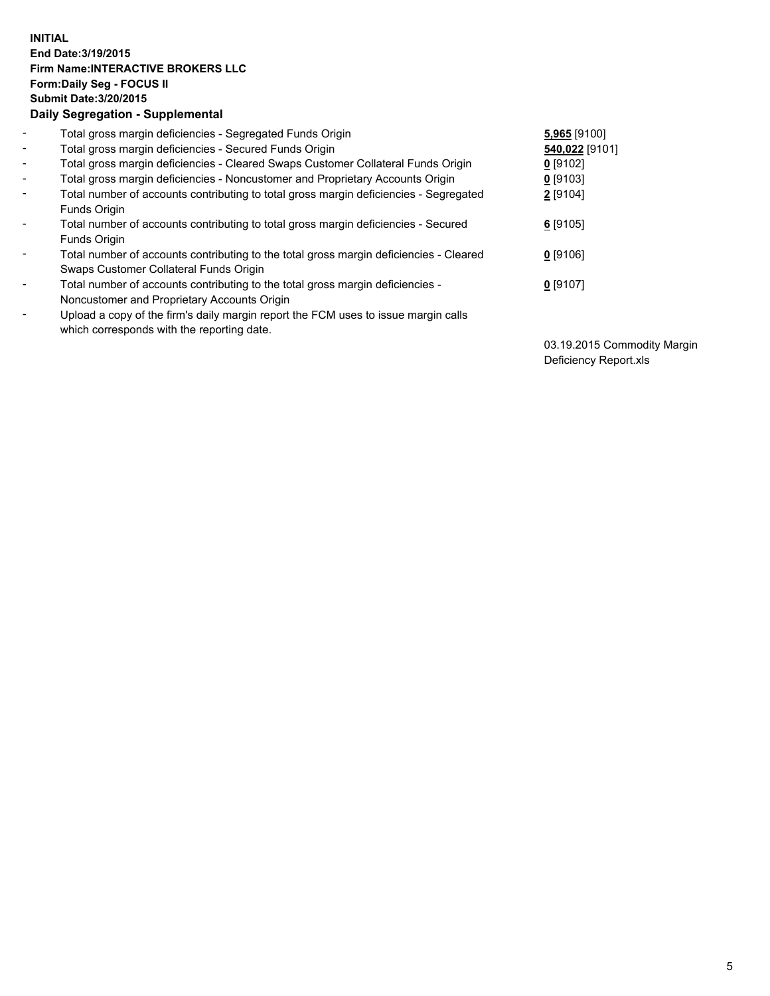## **INITIAL End Date:3/19/2015 Firm Name:INTERACTIVE BROKERS LLC Form:Daily Seg - FOCUS II Submit Date:3/20/2015 Daily Segregation - Supplemental**

| $\blacksquare$           | Total gross margin deficiencies - Segregated Funds Origin                              | 5,965 [9100]   |
|--------------------------|----------------------------------------------------------------------------------------|----------------|
| $\sim$                   | Total gross margin deficiencies - Secured Funds Origin                                 | 540,022 [9101] |
| $\blacksquare$           | Total gross margin deficiencies - Cleared Swaps Customer Collateral Funds Origin       | $0$ [9102]     |
| $\blacksquare$           | Total gross margin deficiencies - Noncustomer and Proprietary Accounts Origin          | $0$ [9103]     |
| $\blacksquare$           | Total number of accounts contributing to total gross margin deficiencies - Segregated  | 2 [9104]       |
|                          | Funds Origin                                                                           |                |
| $\blacksquare$           | Total number of accounts contributing to total gross margin deficiencies - Secured     | $6$ [9105]     |
|                          | <b>Funds Origin</b>                                                                    |                |
| $\blacksquare$           | Total number of accounts contributing to the total gross margin deficiencies - Cleared | $0$ [9106]     |
|                          | Swaps Customer Collateral Funds Origin                                                 |                |
| $\overline{\phantom{a}}$ | Total number of accounts contributing to the total gross margin deficiencies -         | $0$ [9107]     |
|                          | Noncustomer and Proprietary Accounts Origin                                            |                |
| $\overline{\phantom{a}}$ | Upload a copy of the firm's daily margin report the FCM uses to issue margin calls     |                |
|                          | which corresponds with the reporting date.                                             |                |

03.19.2015 Commodity Margin Deficiency Report.xls